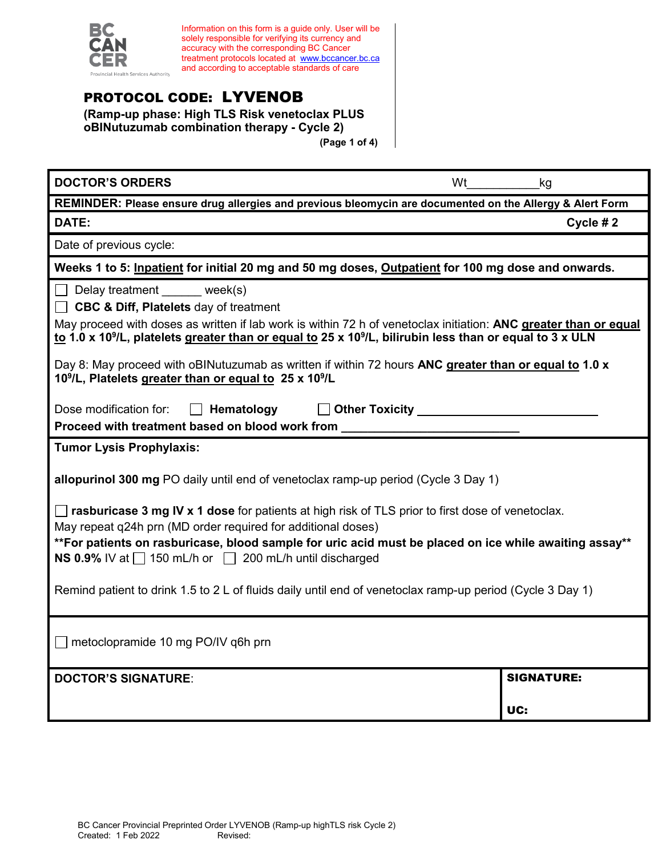

Information on this form is a guide only. User will be solely responsible for verifying its currency and accuracy with the corresponding BC Cancer treatment protocols located at [www.bccancer.bc.ca](http://www.bccancer.bc.ca/) and according to acceptable standards of care

# PROTOCOL CODE: LYVENOB

**(Ramp-up phase: High TLS Risk venetoclax PLUS oBINutuzumab combination therapy - Cycle 2) (Page 1 of 4)**

| <b>DOCTOR'S ORDERS</b><br>Wt                                                                                                                                                                                                                                                                                                                | kg                |  |  |
|---------------------------------------------------------------------------------------------------------------------------------------------------------------------------------------------------------------------------------------------------------------------------------------------------------------------------------------------|-------------------|--|--|
| REMINDER: Please ensure drug allergies and previous bleomycin are documented on the Allergy & Alert Form                                                                                                                                                                                                                                    |                   |  |  |
| DATE:                                                                                                                                                                                                                                                                                                                                       | Cycle # $2$       |  |  |
| Date of previous cycle:                                                                                                                                                                                                                                                                                                                     |                   |  |  |
| Weeks 1 to 5: Inpatient for initial 20 mg and 50 mg doses, Outpatient for 100 mg dose and onwards.                                                                                                                                                                                                                                          |                   |  |  |
| Delay treatment ______ week(s)<br><b>CBC &amp; Diff, Platelets day of treatment</b><br>May proceed with doses as written if lab work is within 72 h of venetoclax initiation: ANC greater than or equal<br>to 1.0 x 10 <sup>9</sup> /L, platelets greater than or equal to 25 x 10 <sup>9</sup> /L, bilirubin less than or equal to 3 x ULN |                   |  |  |
| Day 8: May proceed with oBINutuzumab as written if within 72 hours ANC greater than or equal to 1.0 x<br>10 <sup>9</sup> /L, Platelets greater than or equal to 25 x 10 <sup>9</sup> /L                                                                                                                                                     |                   |  |  |
| Other Toxicity _________<br>Dose modification for:<br>Hematology<br>Proceed with treatment based on blood work from                                                                                                                                                                                                                         |                   |  |  |
| <b>Tumor Lysis Prophylaxis:</b>                                                                                                                                                                                                                                                                                                             |                   |  |  |
| allopurinol 300 mg PO daily until end of venetoclax ramp-up period (Cycle 3 Day 1)                                                                                                                                                                                                                                                          |                   |  |  |
| rasburicase 3 mg IV x 1 dose for patients at high risk of TLS prior to first dose of venetoclax.<br>May repeat q24h prn (MD order required for additional doses)<br>**For patients on rasburicase, blood sample for uric acid must be placed on ice while awaiting assay**<br>NS 0.9% IV at 150 mL/h or 200 mL/h until discharged           |                   |  |  |
| Remind patient to drink 1.5 to 2 L of fluids daily until end of venetoclax ramp-up period (Cycle 3 Day 1)                                                                                                                                                                                                                                   |                   |  |  |
| metoclopramide 10 mg PO/IV q6h prn                                                                                                                                                                                                                                                                                                          |                   |  |  |
| <b>DOCTOR'S SIGNATURE:</b>                                                                                                                                                                                                                                                                                                                  | <b>SIGNATURE:</b> |  |  |
|                                                                                                                                                                                                                                                                                                                                             | UC:               |  |  |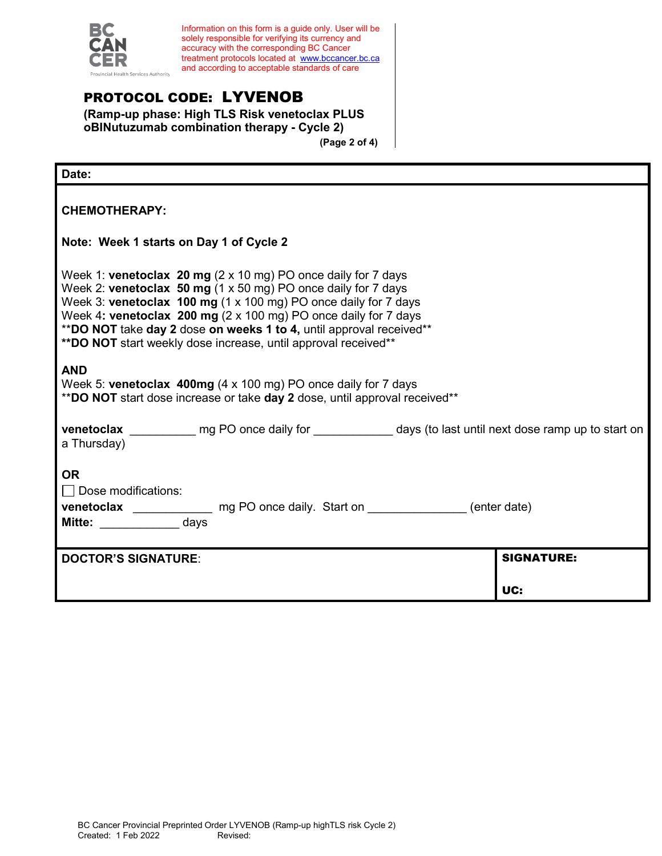

Information on this form is a guide only. User will be solely responsible for verifying its currency and accuracy with the corresponding BC Cancer treatment protocols located at [www.bccancer.bc.ca](http://www.bccancer.bc.ca/) and according to acceptable standards of care

### PROTOCOL CODE: LYVENOB

**(Ramp-up phase: High TLS Risk venetoclax PLUS oBINutuzumab combination therapy - Cycle 2) (Page 2 of 4)**

| Date:                                                                                                                                                                                                                                                                                                                                                                                                                         |                   |
|-------------------------------------------------------------------------------------------------------------------------------------------------------------------------------------------------------------------------------------------------------------------------------------------------------------------------------------------------------------------------------------------------------------------------------|-------------------|
| <b>CHEMOTHERAPY:</b>                                                                                                                                                                                                                                                                                                                                                                                                          |                   |
| Note: Week 1 starts on Day 1 of Cycle 2                                                                                                                                                                                                                                                                                                                                                                                       |                   |
| Week 1: venetoclax 20 mg $(2 \times 10 \text{ mg})$ PO once daily for 7 days<br>Week 2: venetoclax 50 mg (1 x 50 mg) PO once daily for 7 days<br>Week 3: venetoclax 100 mg (1 x 100 mg) PO once daily for 7 days<br>Week 4: venetoclax 200 mg (2 x 100 mg) PO once daily for 7 days<br>**DO NOT take day 2 dose on weeks 1 to 4, until approval received**<br>** DO NOT start weekly dose increase, until approval received** |                   |
| <b>AND</b><br>Week 5: venetoclax 400mg (4 x 100 mg) PO once daily for 7 days<br>**DO NOT start dose increase or take day 2 dose, until approval received**                                                                                                                                                                                                                                                                    |                   |
| venetoclax ______________ mg PO once daily for _______________ days (to last until next dose ramp up to start on<br>a Thursday)                                                                                                                                                                                                                                                                                               |                   |
| <b>OR</b><br>$\Box$ Dose modifications:<br>venetoclax _______________ mg PO once daily. Start on ______________(enter date)<br>Mitte: ______________ days                                                                                                                                                                                                                                                                     |                   |
| <b>DOCTOR'S SIGNATURE:</b>                                                                                                                                                                                                                                                                                                                                                                                                    | <b>SIGNATURE:</b> |
|                                                                                                                                                                                                                                                                                                                                                                                                                               | UC:               |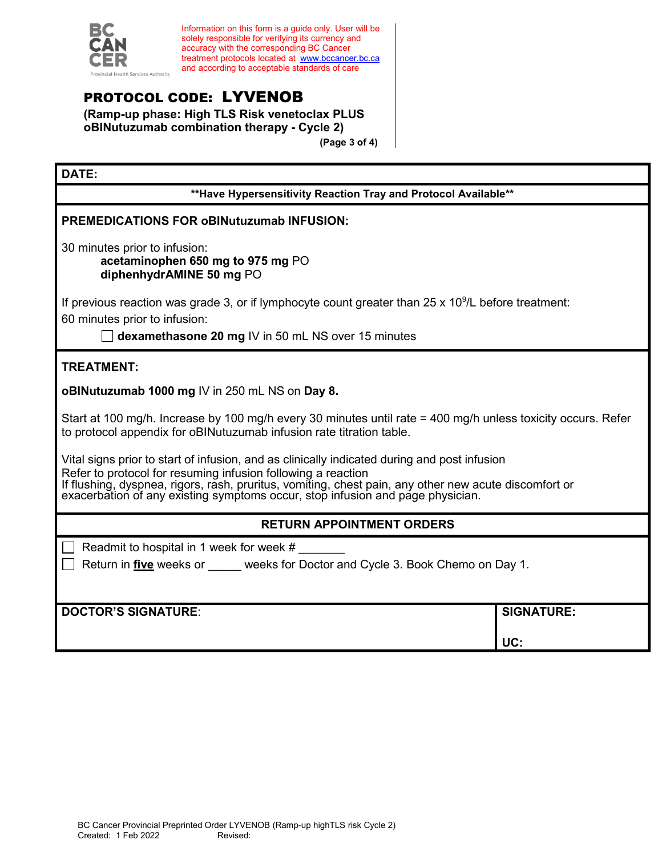

Information on this form is a guide only. User will be solely responsible for verifying its currency and accuracy with the corresponding BC Cancer treatment protocols located at [www.bccancer.bc.ca](http://www.bccancer.bc.ca/) and according to acceptable standards of care

# PROTOCOL CODE: LYVENOB

**(Ramp-up phase: High TLS Risk venetoclax PLUS oBINutuzumab combination therapy - Cycle 2) (Page 3 of 4)**

### **DATE:**

**\*\*Have Hypersensitivity Reaction Tray and Protocol Available\*\***

#### **PREMEDICATIONS FOR oBINutuzumab INFUSION:**

30 minutes prior to infusion:

**acetaminophen 650 mg to 975 mg** PO **diphenhydrAMINE 50 mg** PO

If previous reaction was grade 3, or if lymphocyte count greater than 25 x 10<sup>9</sup>/L before treatment: 60 minutes prior to infusion:

**dexamethasone 20 mg IV in 50 mL NS over 15 minutes** 

### **TREATMENT:**

**oBINutuzumab 1000 mg** IV in 250 mL NS on **Day 8.**

Start at 100 mg/h. Increase by 100 mg/h every 30 minutes until rate = 400 mg/h unless toxicity occurs. Refer to protocol appendix for oBINutuzumab infusion rate titration table.

Vital signs prior to start of infusion, and as clinically indicated during and post infusion Refer to protocol for resuming infusion following a reaction If flushing, dyspnea, rigors, rash, pruritus, vomiting, chest pain, any other new acute discomfort or exacerbation of any existing symptoms occur, stop infusion and page physician.

### **RETURN APPOINTMENT ORDERS**

Readmit to hospital in 1 week for week  $#$ 

Return in **five** weeks or weeks for Doctor and Cycle 3. Book Chemo on Day 1.

**DOCTOR'S SIGNATURE**: **SIGNATURE:**

**UC:**